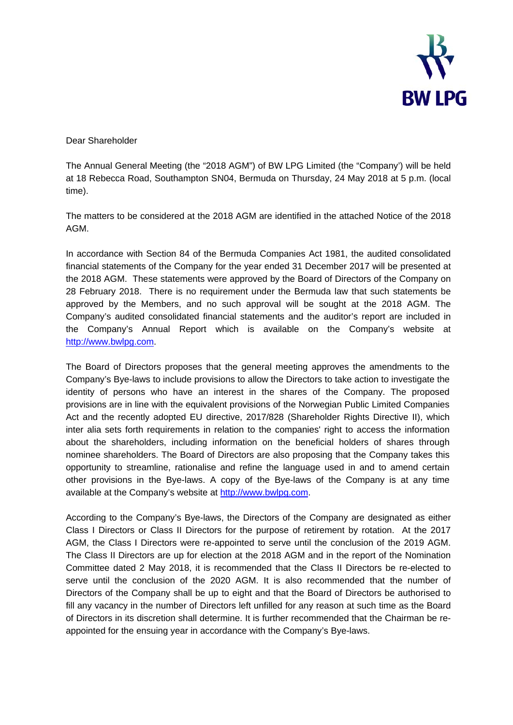

Dear Shareholder

The Annual General Meeting (the "2018 AGM") of BW LPG Limited (the "Company') will be held at 18 Rebecca Road, Southampton SN04, Bermuda on Thursday, 24 May 2018 at 5 p.m. (local time).

The matters to be considered at the 2018 AGM are identified in the attached Notice of the 2018 AGM.

In accordance with Section 84 of the Bermuda Companies Act 1981, the audited consolidated financial statements of the Company for the year ended 31 December 2017 will be presented at the 2018 AGM. These statements were approved by the Board of Directors of the Company on 28 February 2018. There is no requirement under the Bermuda law that such statements be approved by the Members, and no such approval will be sought at the 2018 AGM. The Company's audited consolidated financial statements and the auditor's report are included in the Company's Annual Report which is available on the Company's website at http://www.bwlpg.com.

The Board of Directors proposes that the general meeting approves the amendments to the Company's Bye-laws to include provisions to allow the Directors to take action to investigate the identity of persons who have an interest in the shares of the Company. The proposed provisions are in line with the equivalent provisions of the Norwegian Public Limited Companies Act and the recently adopted EU directive, 2017/828 (Shareholder Rights Directive II), which inter alia sets forth requirements in relation to the companies' right to access the information about the shareholders, including information on the beneficial holders of shares through nominee shareholders. The Board of Directors are also proposing that the Company takes this opportunity to streamline, rationalise and refine the language used in and to amend certain other provisions in the Bye-laws. A copy of the Bye-laws of the Company is at any time available at the Company's website at http://www.bwlpg.com.

According to the Company's Bye-laws, the Directors of the Company are designated as either Class I Directors or Class II Directors for the purpose of retirement by rotation. At the 2017 AGM, the Class I Directors were re-appointed to serve until the conclusion of the 2019 AGM. The Class II Directors are up for election at the 2018 AGM and in the report of the Nomination Committee dated 2 May 2018, it is recommended that the Class II Directors be re-elected to serve until the conclusion of the 2020 AGM. It is also recommended that the number of Directors of the Company shall be up to eight and that the Board of Directors be authorised to fill any vacancy in the number of Directors left unfilled for any reason at such time as the Board of Directors in its discretion shall determine. It is further recommended that the Chairman be reappointed for the ensuing year in accordance with the Company's Bye-laws.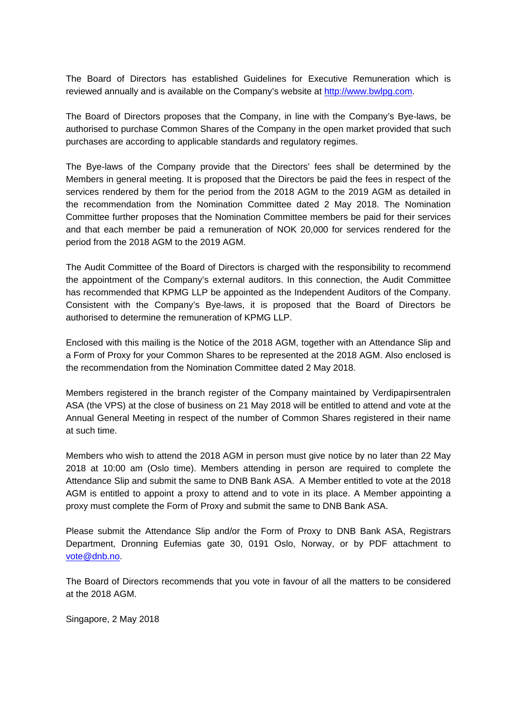The Board of Directors has established Guidelines for Executive Remuneration which is reviewed annually and is available on the Company's website at http://www.bwlpg.com.

The Board of Directors proposes that the Company, in line with the Company's Bye-laws, be authorised to purchase Common Shares of the Company in the open market provided that such purchases are according to applicable standards and regulatory regimes.

The Bye-laws of the Company provide that the Directors' fees shall be determined by the Members in general meeting. It is proposed that the Directors be paid the fees in respect of the services rendered by them for the period from the 2018 AGM to the 2019 AGM as detailed in the recommendation from the Nomination Committee dated 2 May 2018. The Nomination Committee further proposes that the Nomination Committee members be paid for their services and that each member be paid a remuneration of NOK 20,000 for services rendered for the period from the 2018 AGM to the 2019 AGM.

The Audit Committee of the Board of Directors is charged with the responsibility to recommend the appointment of the Company's external auditors. In this connection, the Audit Committee has recommended that KPMG LLP be appointed as the Independent Auditors of the Company. Consistent with the Company's Bye-laws, it is proposed that the Board of Directors be authorised to determine the remuneration of KPMG LLP.

Enclosed with this mailing is the Notice of the 2018 AGM, together with an Attendance Slip and a Form of Proxy for your Common Shares to be represented at the 2018 AGM. Also enclosed is the recommendation from the Nomination Committee dated 2 May 2018.

Members registered in the branch register of the Company maintained by Verdipapirsentralen ASA (the VPS) at the close of business on 21 May 2018 will be entitled to attend and vote at the Annual General Meeting in respect of the number of Common Shares registered in their name at such time.

Members who wish to attend the 2018 AGM in person must give notice by no later than 22 May 2018 at 10:00 am (Oslo time). Members attending in person are required to complete the Attendance Slip and submit the same to DNB Bank ASA. A Member entitled to vote at the 2018 AGM is entitled to appoint a proxy to attend and to vote in its place. A Member appointing a proxy must complete the Form of Proxy and submit the same to DNB Bank ASA.

Please submit the Attendance Slip and/or the Form of Proxy to DNB Bank ASA, Registrars Department, Dronning Eufemias gate 30, 0191 Oslo, Norway, or by PDF attachment to vote@dnb.no.

The Board of Directors recommends that you vote in favour of all the matters to be considered at the 2018 AGM.

Singapore, 2 May 2018